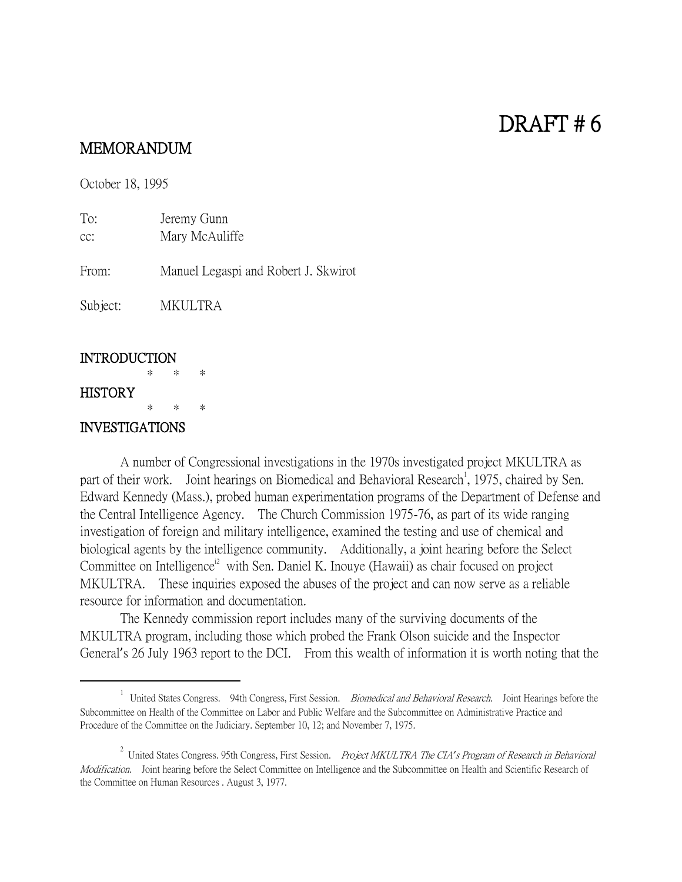# DRAFT # 6

## MEMORANDUM

October 18, 1995

To: Jeremy Gunn cc: Mary McAuliffe From: Manuel Legaspi and Robert J. Skwirot

Subject: MKULTRA

#### **INTRODUCTION**

#### \* \* \* **HISTORY**

 $\overline{a}$ 

\* \* \*

### INVESTIGATIONS

A number of Congressional investigations in the 1970s investigated project MKULTRA as part of their work. Joint hearings on Biomedical and Behavioral Research<sup>1</sup>, 1975, chaired by Sen. Edward Kennedy (Mass.), probed human experimentation programs of the Department of Defense and the Central Intelligence Agency. The Church Commission 1975-76, as part of its wide ranging investigation of foreign and military intelligence, examined the testing and use of chemical and biological agents by the intelligence community. Additionally, a joint hearing before the Select Committee on Intelligence<sup>12</sup> with Sen. Daniel K. Inouye (Hawaii) as chair focused on project MKULTRA. These inquiries exposed the abuses of the project and can now serve as a reliable resource for information and documentation.

The Kennedy commission report includes many of the surviving documents of the MKULTRA program, including those which probed the Frank Olson suicide and the Inspector General's 26 July 1963 report to the DCI. From this wealth of information it is worth noting that the

<sup>&</sup>lt;sup>1</sup> United States Congress. 94th Congress, First Session. *Biomedical and Behavioral Research*. Joint Hearings before the Subcommittee on Health of the Committee on Labor and Public Welfare and the Subcommittee on Administrative Practice and Procedure of the Committee on the Judiciary. September 10, 12; and November 7, 1975.

<sup>2</sup> United States Congress. 95th Congress, First Session. Project MKULTRA The CIA*'*s Program of Research in Behavioral Modification. Joint hearing before the Select Committee on Intelligence and the Subcommittee on Health and Scientific Research of the Committee on Human Resources . August 3, 1977.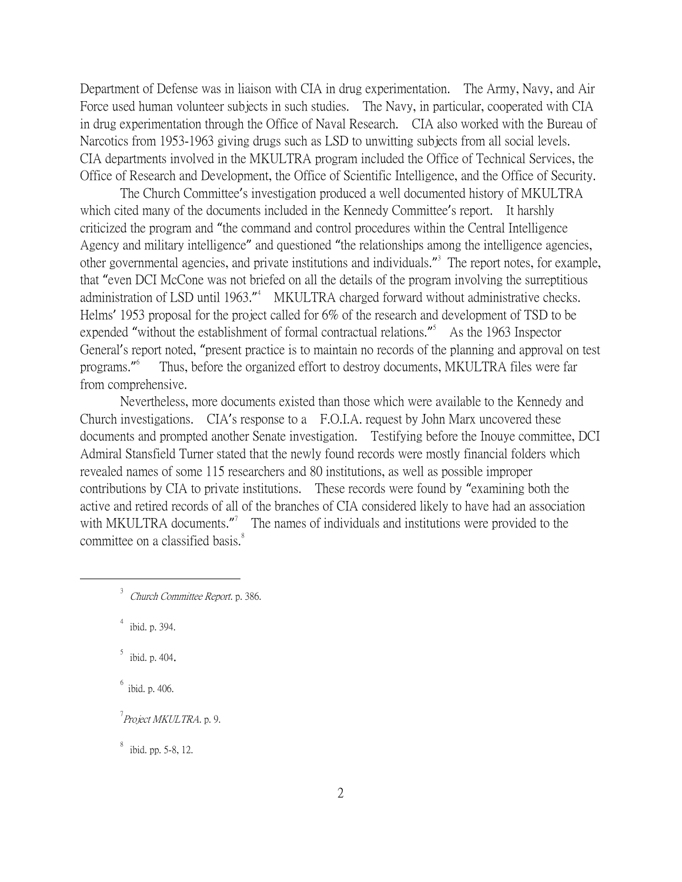Department of Defense was in liaison with CIA in drug experimentation. The Army, Navy, and Air Force used human volunteer subjects in such studies. The Navy, in particular, cooperated with CIA in drug experimentation through the Office of Naval Research. CIA also worked with the Bureau of Narcotics from 1953-1963 giving drugs such as LSD to unwitting subjects from all social levels. CIA departments involved in the MKULTRA program included the Office of Technical Services, the Office of Research and Development, the Office of Scientific Intelligence, and the Office of Security.

The Church Committee's investigation produced a well documented history of MKULTRA which cited many of the documents included in the Kennedy Committee's report. It harshly criticized the program and "the command and control procedures within the Central Intelligence Agency and military intelligence" and questioned "the relationships among the intelligence agencies, other governmental agencies, and private institutions and individuals."<sup>3</sup> The report notes, for example, that "even DCI McCone was not briefed on all the details of the program involving the surreptitious administration of LSD until 1963."<sup>4</sup> MKULTRA charged forward without administrative checks. Helms' 1953 proposal for the project called for 6% of the research and development of TSD to be expended "without the establishment of formal contractual relations."<sup>5</sup> As the 1963 Inspector General's report noted, "present practice is to maintain no records of the planning and approval on test programs." 6 Thus, before the organized effort to destroy documents, MKULTRA files were far from comprehensive.

Nevertheless, more documents existed than those which were available to the Kennedy and Church investigations. CIA's response to a F.O.I.A. request by John Marx uncovered these documents and prompted another Senate investigation. Testifying before the Inouye committee, DCI Admiral Stansfield Turner stated that the newly found records were mostly financial folders which revealed names of some 115 researchers and 80 institutions, as well as possible improper contributions by CIA to private institutions. These records were found by "examining both the active and retired records of all of the branches of CIA considered likely to have had an association with MKULTRA documents."<sup>7</sup> The names of individuals and institutions were provided to the committee on a classified basis.<sup>8</sup>

 $4$  ibid. p. 394.

 $\overline{a}$ 

5 ibid. p. 404.

6 ibid. p. 406.

<sup>7</sup> Pro*ject MKULTRA*. p. 9.

8 ibid. pp. 5-8, 12.

 $3$  Church Committee Report. p. 386.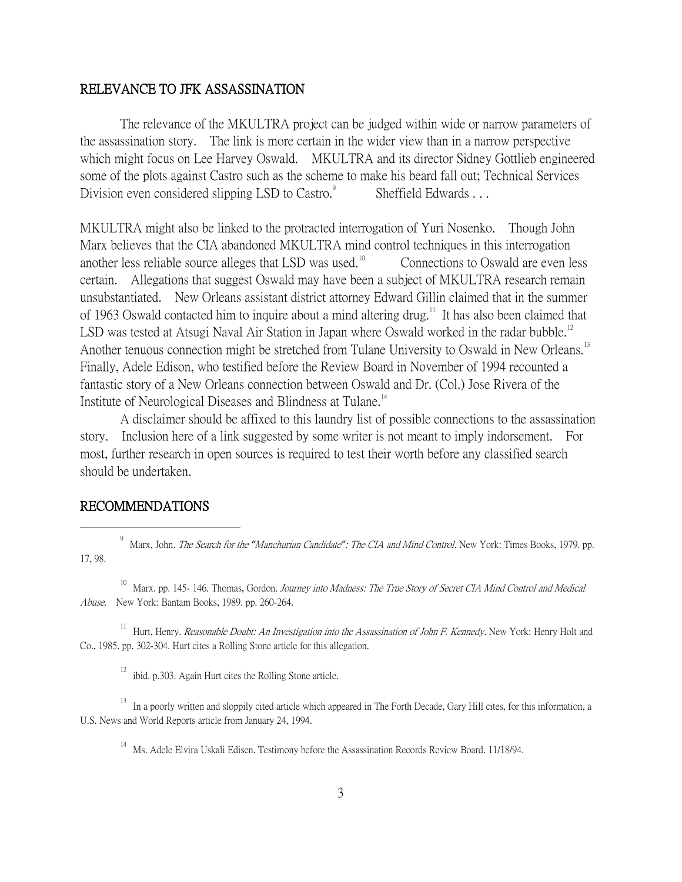#### RELEVANCE TO JFK ASSASSINATION

The relevance of the MKULTRA project can be judged within wide or narrow parameters of the assassination story. The link is more certain in the wider view than in a narrow perspective which might focus on Lee Harvey Oswald. MKULTRA and its director Sidney Gottlieb engineered some of the plots against Castro such as the scheme to make his beard fall out; Technical Services Division even considered slipping LSD to Castro.<sup>9</sup> Sheffield Edwards . . .

MKULTRA might also be linked to the protracted interrogation of Yuri Nosenko. Though John Marx believes that the CIA abandoned MKULTRA mind control techniques in this interrogation another less reliable source alleges that LSD was used. $10^{\circ}$  Connections to Oswald are even less certain. Allegations that suggest Oswald may have been a subject of MKULTRA research remain unsubstantiated. New Orleans assistant district attorney Edward Gillin claimed that in the summer of 1963 Oswald contacted him to inquire about a mind altering drug.<sup>11</sup> It has also been claimed that LSD was tested at Atsugi Naval Air Station in Japan where Oswald worked in the radar bubble.<sup>12</sup> Another tenuous connection might be stretched from Tulane University to Oswald in New Orleans.<sup>13</sup> Finally, Adele Edison, who testified before the Review Board in November of 1994 recounted a fantastic story of a New Orleans connection between Oswald and Dr. (Col.) Jose Rivera of the Institute of Neurological Diseases and Blindness at Tulane.<sup>14</sup>

A disclaimer should be affixed to this laundry list of possible connections to the assassination story. Inclusion here of a link suggested by some writer is not meant to imply indorsement. For most, further research in open sources is required to test their worth before any classified search should be undertaken.

#### RECOMMENDATIONS

 $\overline{a}$ 

9 Marx, John. The Search for the *"*Manchurian Candidate*"*: The CIA and Mind Control. New York: Times Books, 1979. pp. 17, 98.

<sup>10</sup> Marx. pp. 145- 146. Thomas, Gordon. Journey into Madness: The True Story of Secret CIA Mind Control and Medical Abuse. New York: Bantam Books, 1989. pp. 260-264.

<sup>11</sup> Hurt, Henry. *Reasonable Doubt: An Investigation into the Assassination of John F. Kennedy*. New York: Henry Holt and Co., 1985. pp. 302-304. Hurt cites a Rolling Stone article for this allegation.

 $12$  ibid. p.303. Again Hurt cites the Rolling Stone article.

<sup>13</sup> In a poorly written and sloppily cited article which appeared in The Forth Decade, Gary Hill cites, for this information, a U.S. News and World Reports article from January 24, 1994.

<sup>14</sup> Ms. Adele Elvira Uskali Edisen. Testimony before the Assassination Records Review Board. 11/18/94.